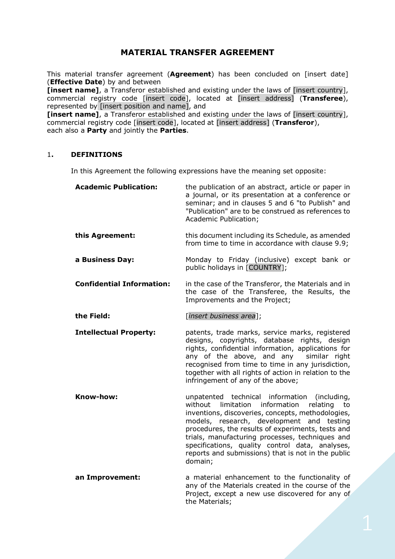# **MATERIAL TRANSFER AGREEMENT**

This material transfer agreement (**Agreement**) has been concluded on [insert date] (**Effective Date**) by and between

**[insert name]**, a Transferor established and existing under the laws of [insert country], commercial registry code [insert code], located at [insert address] (**Transferee**), represented by [insert position and name], and

**[insert name]**, a Transferor established and existing under the laws of [insert country], commercial registry code [insert code], located at [insert address] (**Transferor**), each also a **Party** and jointly the **Parties**.

#### 1**. DEFINITIONS**

In this Agreement the following expressions have the meaning set opposite:

| <b>Academic Publication:</b>     | the publication of an abstract, article or paper in<br>a journal, or its presentation at a conference or<br>seminar; and in clauses 5 and 6 "to Publish" and<br>"Publication" are to be construed as references to<br>Academic Publication;                                                                                                                                                                                       |
|----------------------------------|-----------------------------------------------------------------------------------------------------------------------------------------------------------------------------------------------------------------------------------------------------------------------------------------------------------------------------------------------------------------------------------------------------------------------------------|
| this Agreement:                  | this document including its Schedule, as amended<br>from time to time in accordance with clause 9.9;                                                                                                                                                                                                                                                                                                                              |
| a Business Day:                  | Monday to Friday (inclusive) except bank or<br>public holidays in [COUNTRY];                                                                                                                                                                                                                                                                                                                                                      |
| <b>Confidential Information:</b> | in the case of the Transferor, the Materials and in<br>the case of the Transferee, the Results, the<br>Improvements and the Project;                                                                                                                                                                                                                                                                                              |
| the Field:                       | [insert business area];                                                                                                                                                                                                                                                                                                                                                                                                           |
| <b>Intellectual Property:</b>    | patents, trade marks, service marks, registered<br>designs, copyrights, database rights, design<br>rights, confidential information, applications for<br>any of the above, and any<br>similar right<br>recognised from time to time in any jurisdiction,<br>together with all rights of action in relation to the<br>infringement of any of the above;                                                                            |
| Know-how:                        | unpatented technical information<br>(including,<br>limitation information<br>without<br>relating to<br>inventions, discoveries, concepts, methodologies,<br>models, research, development and testing<br>procedures, the results of experiments, tests and<br>trials, manufacturing processes, techniques and<br>specifications, quality control data, analyses,<br>reports and submissions) that is not in the public<br>domain; |
| an Improvement:                  | a material enhancement to the functionality of<br>any of the Materials created in the course of the<br>Project, except a new use discovered for any of<br>the Materials;                                                                                                                                                                                                                                                          |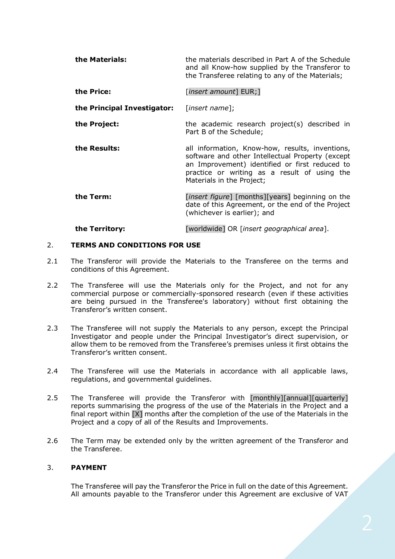| the Materials:              | the materials described in Part A of the Schedule<br>and all Know-how supplied by the Transferor to<br>the Transferee relating to any of the Materials;                                                                            |
|-----------------------------|------------------------------------------------------------------------------------------------------------------------------------------------------------------------------------------------------------------------------------|
| the Price:                  | [insert amount] EUR;]                                                                                                                                                                                                              |
| the Principal Investigator: | [insert name];                                                                                                                                                                                                                     |
| the Project:                | the academic research project(s) described in<br>Part B of the Schedule;                                                                                                                                                           |
| the Results:                | all information, Know-how, results, inventions,<br>software and other Intellectual Property (except<br>an Improvement) identified or first reduced to<br>practice or writing as a result of using the<br>Materials in the Project; |
| the Term:                   | [insert figure] [months][years] beginning on the<br>date of this Agreement, or the end of the Project<br>(whichever is earlier); and                                                                                               |
| the Territory:              | [worldwide] OR [insert geographical area].                                                                                                                                                                                         |

#### 2. **TERMS AND CONDITIONS FOR USE**

- 2.1 The Transferor will provide the Materials to the Transferee on the terms and conditions of this Agreement.
- 2.2 The Transferee will use the Materials only for the Project, and not for any commercial purpose or commercially-sponsored research (even if these activities are being pursued in the Transferee's laboratory) without first obtaining the Transferor's written consent.
- 2.3 The Transferee will not supply the Materials to any person, except the Principal Investigator and people under the Principal Investigator's direct supervision, or allow them to be removed from the Transferee's premises unless it first obtains the Transferor's written consent.
- 2.4 The Transferee will use the Materials in accordance with all applicable laws, regulations, and governmental guidelines.
- 2.5 The Transferee will provide the Transferor with [monthly][annual][quarterly] reports summarising the progress of the use of the Materials in the Project and a final report within [X] months after the completion of the use of the Materials in the Project and a copy of all of the Results and Improvements.
- 2.6 The Term may be extended only by the written agreement of the Transferor and the Transferee.

#### 3. **PAYMENT**

The Transferee will pay the Transferor the Price in full on the date of this Agreement. All amounts payable to the Transferor under this Agreement are exclusive of VAT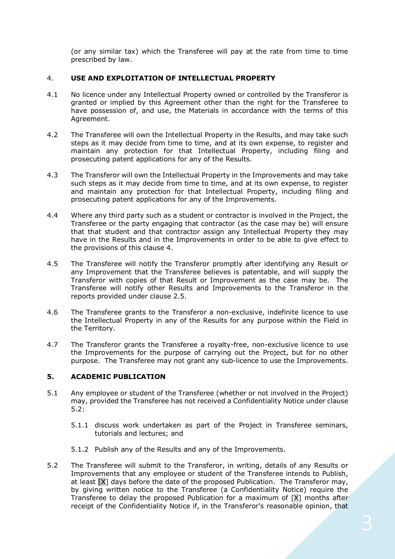(or any similar tax) which the Transferee will pay at the rate from time to time prescribed by law.

## 4. **USE AND EXPLOITATION OF INTELLECTUAL PROPERTY**

- 4.1 No licence under any Intellectual Property owned or controlled by the Transferor is granted or implied by this Agreement other than the right for the Transferee to have possession of, and use, the Materials in accordance with the terms of this Agreement.
- 4.2 The Transferee will own the Intellectual Property in the Results, and may take such steps as it may decide from time to time, and at its own expense, to register and maintain any protection for that Intellectual Property, including filing and prosecuting patent applications for any of the Results.
- 4.3 The Transferor will own the Intellectual Property in the Improvements and may take such steps as it may decide from time to time, and at its own expense, to register and maintain any protection for that Intellectual Property, including filing and prosecuting patent applications for any of the Improvements.
- 4.4 Where any third party such as a student or contractor is involved in the Project, the Transferee or the party engaging that contractor (as the case may be) will ensure that that student and that contractor assign any Intellectual Property they may have in the Results and in the Improvements in order to be able to give effect to the provisions of this clause 4.
- 4.5 The Transferee will notify the Transferor promptly after identifying any Result or any Improvement that the Transferee believes is patentable, and will supply the Transferor with copies of that Result or Improvement as the case may be. The Transferee will notify other Results and Improvements to the Transferor in the reports provided under clause 2.5.
- 4.6 The Transferee grants to the Transferor a non-exclusive, indefinite licence to use the Intellectual Property in any of the Results for any purpose within the Field in the Territory.
- 4.7 The Transferor grants the Transferee a royalty-free, non-exclusive licence to use the Improvements for the purpose of carrying out the Project, but for no other purpose. The Transferee may not grant any sub-licence to use the Improvements.

## **5. ACADEMIC PUBLICATION**

- 5.1 Any employee or student of the Transferee (whether or not involved in the Project) may, provided the Transferee has not received a Confidentiality Notice under clause 5.2:
	- 5.1.1 discuss work undertaken as part of the Project in Transferee seminars, tutorials and lectures; and
	- 5.1.2 Publish any of the Results and any of the Improvements.
- 5.2 The Transferee will submit to the Transferor, in writing, details of any Results or Improvements that any employee or student of the Transferee intends to Publish, at least  $[X]$  days before the date of the proposed Publication. The Transferor may, by giving written notice to the Transferee (a Confidentiality Notice) require the Transferee to delay the proposed Publication for a maximum of [X] months after receipt of the Confidentiality Notice if, in the Transferor's reasonable opinion, that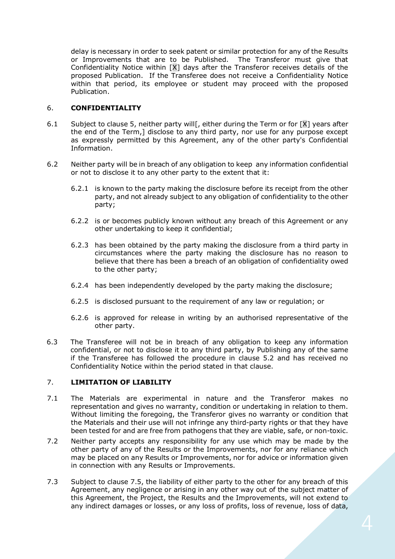delay is necessary in order to seek patent or similar protection for any of the Results or Improvements that are to be Published. The Transferor must give that Confidentiality Notice within [X] days after the Transferor receives details of the proposed Publication. If the Transferee does not receive a Confidentiality Notice within that period, its employee or student may proceed with the proposed Publication.

#### 6. **CONFIDENTIALITY**

- 6.1 Subject to clause 5, neither party will [, either during the Term or for  $[X]$  years after the end of the Term,] disclose to any third party, nor use for any purpose except as expressly permitted by this Agreement, any of the other party's Confidential Information.
- 6.2 Neither party will be in breach of any obligation to keep any information confidential or not to disclose it to any other party to the extent that it:
	- 6.2.1 is known to the party making the disclosure before its receipt from the other party, and not already subject to any obligation of confidentiality to the other party;
	- 6.2.2 is or becomes publicly known without any breach of this Agreement or any other undertaking to keep it confidential;
	- 6.2.3 has been obtained by the party making the disclosure from a third party in circumstances where the party making the disclosure has no reason to believe that there has been a breach of an obligation of confidentiality owed to the other party;
	- 6.2.4 has been independently developed by the party making the disclosure;
	- 6.2.5 is disclosed pursuant to the requirement of any law or regulation; or
	- 6.2.6 is approved for release in writing by an authorised representative of the other party.
- 6.3 The Transferee will not be in breach of any obligation to keep any information confidential, or not to disclose it to any third party, by Publishing any of the same if the Transferee has followed the procedure in clause 5.2 and has received no Confidentiality Notice within the period stated in that clause.

## 7. **LIMITATION OF LIABILITY**

- 7.1 The Materials are experimental in nature and the Transferor makes no representation and gives no warranty, condition or undertaking in relation to them. Without limiting the foregoing, the Transferor gives no warranty or condition that the Materials and their use will not infringe any third-party rights or that they have been tested for and are free from pathogens that they are viable, safe, or non-toxic.
- 7.2 Neither party accepts any responsibility for any use which may be made by the other party of any of the Results or the Improvements, nor for any reliance which may be placed on any Results or Improvements, nor for advice or information given in connection with any Results or Improvements.
- 7.3 Subject to clause 7.5, the liability of either party to the other for any breach of this Agreement, any negligence or arising in any other way out of the subject matter of this Agreement, the Project, the Results and the Improvements, will not extend to any indirect damages or losses, or any loss of profits, loss of revenue, loss of data,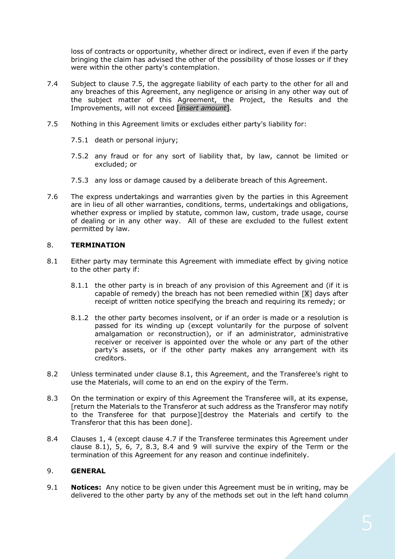loss of contracts or opportunity, whether direct or indirect, even if even if the party bringing the claim has advised the other of the possibility of those losses or if they were within the other party's contemplation.

- 7.4 Subject to clause 7.5, the aggregate liability of each party to the other for all and any breaches of this Agreement, any negligence or arising in any other way out of the subject matter of this Agreement, the Project, the Results and the Improvements, will not exceed [*insert amount*].
- 7.5 Nothing in this Agreement limits or excludes either party's liability for:
	- 7.5.1 death or personal injury;
	- 7.5.2 any fraud or for any sort of liability that, by law, cannot be limited or excluded; or
	- 7.5.3 any loss or damage caused by a deliberate breach of this Agreement.
- 7.6 The express undertakings and warranties given by the parties in this Agreement are in lieu of all other warranties, conditions, terms, undertakings and obligations, whether express or implied by statute, common law, custom, trade usage, course of dealing or in any other way. All of these are excluded to the fullest extent permitted by law.

## 8. **TERMINATION**

- 8.1 Either party may terminate this Agreement with immediate effect by giving notice to the other party if:
	- 8.1.1 the other party is in breach of any provision of this Agreement and (if it is capable of remedy) the breach has not been remedied within  $[X]$  days after receipt of written notice specifying the breach and requiring its remedy; or
	- 8.1.2 the other party becomes insolvent, or if an order is made or a resolution is passed for its winding up (except voluntarily for the purpose of solvent amalgamation or reconstruction), or if an administrator, administrative receiver or receiver is appointed over the whole or any part of the other party's assets, or if the other party makes any arrangement with its creditors.
- 8.2 Unless terminated under clause 8.1, this Agreement, and the Transferee's right to use the Materials, will come to an end on the expiry of the Term.
- 8.3 On the termination or expiry of this Agreement the Transferee will, at its expense, [return the Materials to the Transferor at such address as the Transferor may notify to the Transferee for that purpose][destroy the Materials and certify to the Transferor that this has been done].
- 8.4 Clauses 1, 4 (except clause 4.7 if the Transferee terminates this Agreement under clause 8.1),  $\overline{5}$ , 6, 7, 8.3, 8.4 and 9 will survive the expiry of the Term or the termination of this Agreement for any reason and continue indefinitely.

## 9. **GENERAL**

9.1 **Notices:** Any notice to be given under this Agreement must be in writing, may be delivered to the other party by any of the methods set out in the left hand column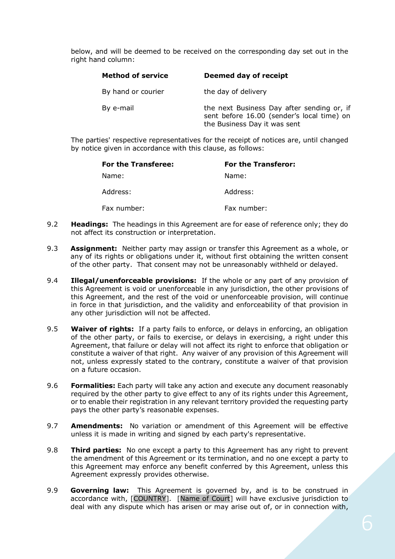below, and will be deemed to be received on the corresponding day set out in the right hand column:

| <b>Method of service</b> | Deemed day of receipt                                                                                                    |
|--------------------------|--------------------------------------------------------------------------------------------------------------------------|
| By hand or courier       | the day of delivery                                                                                                      |
| By e-mail                | the next Business Day after sending or, if<br>sent before 16.00 (sender's local time) on<br>the Business Day it was sent |

The parties' respective representatives for the receipt of notices are, until changed by notice given in accordance with this clause, as follows:

| <b>For the Transferee:</b> | <b>For the Transferor:</b> |
|----------------------------|----------------------------|
| Name:                      | Name:                      |
| Address:                   | Address:                   |
| Fax number:                | Fax number:                |

- 9.2 **Headings:** The headings in this Agreement are for ease of reference only; they do not affect its construction or interpretation.
- 9.3 **Assignment:** Neither party may assign or transfer this Agreement as a whole, or any of its rights or obligations under it, without first obtaining the written consent of the other party. That consent may not be unreasonably withheld or delayed.
- 9.4 **Illegal/unenforceable provisions:** If the whole or any part of any provision of this Agreement is void or unenforceable in any jurisdiction, the other provisions of this Agreement, and the rest of the void or unenforceable provision, will continue in force in that jurisdiction, and the validity and enforceability of that provision in any other jurisdiction will not be affected.
- 9.5 **Waiver of rights:** If a party fails to enforce, or delays in enforcing, an obligation of the other party, or fails to exercise, or delays in exercising, a right under this Agreement, that failure or delay will not affect its right to enforce that obligation or constitute a waiver of that right. Any waiver of any provision of this Agreement will not, unless expressly stated to the contrary, constitute a waiver of that provision on a future occasion.
- 9.6 **Formalities:** Each party will take any action and execute any document reasonably required by the other party to give effect to any of its rights under this Agreement, or to enable their registration in any relevant territory provided the requesting party pays the other party's reasonable expenses.
- 9.7 **Amendments:** No variation or amendment of this Agreement will be effective unless it is made in writing and signed by each party's representative.
- 9.8 **Third parties:** No one except a party to this Agreement has any right to prevent the amendment of this Agreement or its termination, and no one except a party to this Agreement may enforce any benefit conferred by this Agreement, unless this Agreement expressly provides otherwise.
- 9.9 **Governing law:** This Agreement is governed by, and is to be construed in accordance with, [COUNTRY]. [Name of Court] will have exclusive jurisdiction to deal with any dispute which has arisen or may arise out of, or in connection with,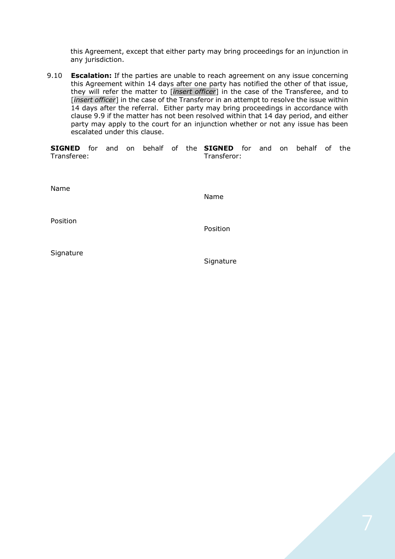this Agreement, except that either party may bring proceedings for an injunction in any jurisdiction.

9.10 **Escalation:** If the parties are unable to reach agreement on any issue concerning this Agreement within 14 days after one party has notified the other of that issue, they will refer the matter to [*insert officer*] in the case of the Transferee, and to [*insert officer*] in the case of the Transferor in an attempt to resolve the issue within 14 days after the referral. Either party may bring proceedings in accordance with clause 9.9 if the matter has not been resolved within that 14 day period, and either party may apply to the court for an injunction whether or not any issue has been escalated under this clause.

**SIGNED** for and on behalf of the **SIGNED** for and on behalf of the Transferee: Transferor:

Name

Name

Position

Position

**Signature** 

**Signature**